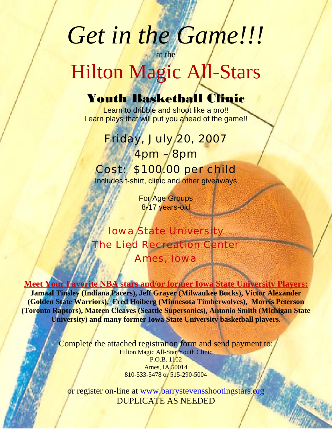# *Get in the Game!!!*

## at the Hilton Magic All-Stars

### Youth Basketball Clinic

Learn to dribble and shoot like a pro!! Learn plays that will put you ahead of the game!!

#### Friday, July 20, 2007

 $4$ pm – $8$ pm Cost: \$100.00 per child Includes t-shirt, clinic and other giveaways

> For Age Groups 8-17 years-old

#### Iowa State University The Lied Recreation Center Ames, Iowa

#### **Meet Your Favorite NBA stars and/or former Iowa State University Players:**

**Jamaal Tinsley (Indiana Pacers), Jeff Grayer (Milwaukee Bucks), Victor Alexander (Golden State Warriors), Fred Hoiberg (Minnesota Timberwolves), Morris Peterson (Toronto Raptors), Mateen Cleaves (Seattle Supersonics), Antonio Smith (Michigan State University) and many former Iowa State University basketball players.** 

> Complete the attached registration form and send payment to: Hilton Magic All-Star Youth Clinic P.O.B. 1102 Ames, IA 50014 810-533-5478 or 515-290-5004

or register on-line at [www.barrystevensshootingstars.org](http://www.barrystevensshootingstars.org/) DUPLICATE AS NEEDED